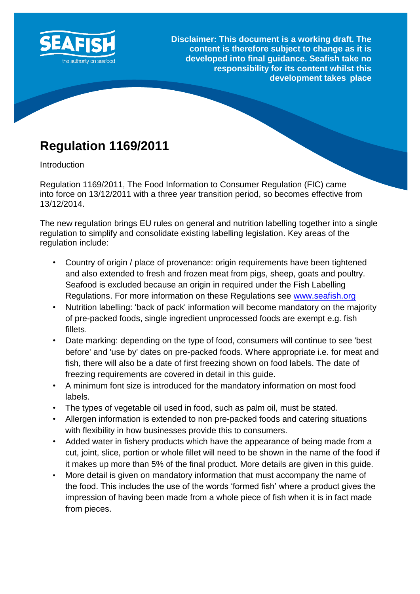

**Disclaimer: This document is a working draft. The content is therefore subject to change as it is developed into final guidance. Seafish take no responsibility for its content whilst this development takes place**

# **Regulation 1169/2011**

**Introduction** 

Regulation 1169/2011, The Food Information to Consumer Regulation (FIC) came into force on 13/12/2011 with a three year transition period, so becomes effective from 13/12/2014.

The new regulation brings EU rules on general and nutrition labelling together into a single regulation to simplify and consolidate existing labelling legislation. Key areas of the regulation include:

- Country of origin / place of provenance: origin requirements have been tightened and also extended to fresh and frozen meat from pigs, sheep, goats and poultry. Seafood is excluded because an origin in required under the Fish Labelling Regulations. For more information on these Regulations see [www.seafish.org](http://www.seafish.org/)
- Nutrition labelling: 'back of pack' information will become mandatory on the majority of pre-packed foods, single ingredient unprocessed foods are exempt e.g. fish fillets.
- Date marking: depending on the type of food, consumers will continue to see 'best before' and 'use by' dates on pre-packed foods. Where appropriate i.e. for meat and fish, there will also be a date of first freezing shown on food labels. The date of freezing requirements are covered in detail in this guide.
- A minimum font size is introduced for the mandatory information on most food labels.
- The types of vegetable oil used in food, such as palm oil, must be stated.
- Allergen information is extended to non pre-packed foods and catering situations with flexibility in how businesses provide this to consumers.
- Added water in fishery products which have the appearance of being made from a cut, joint, slice, portion or whole fillet will need to be shown in the name of the food if it makes up more than 5% of the final product. More details are given in this guide.
- More detail is given on mandatory information that must accompany the name of the food. This includes the use of the words 'formed fish' where a product gives the impression of having been made from a whole piece of fish when it is in fact made from pieces.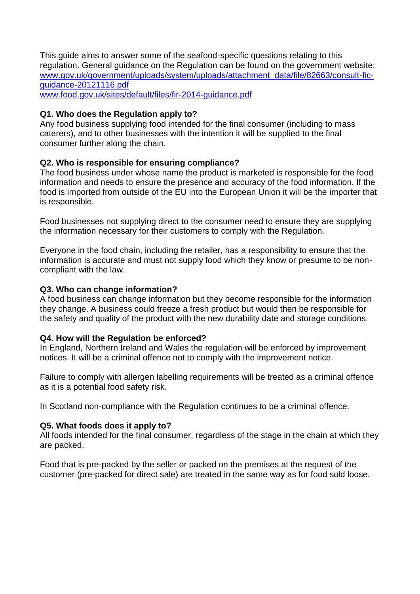This guide aims to answer some of the seafood-specific questions relating to this regulation. General guidance on the Regulation can be found on the government website: [www.gov.uk/government/uploads/system/uploads/attachment\\_data/file/82663/consult-fic](http://www.gov.uk/government/uploads/system/uploads/attachment_data/file/82663/consult-fic-guidance-20121116.pdf)[guidance-20121116.pdf](http://www.gov.uk/government/uploads/system/uploads/attachment_data/file/82663/consult-fic-guidance-20121116.pdf) [www.food.gov.uk/sites/default/files/fir-2014-guidance.pdf](http://www.food.gov.uk/sites/default/files/fir-2014-guidance.pdf)

## **Q1. Who does the Regulation apply to?**

Any food business supplying food intended for the final consumer (including to mass caterers), and to other businesses with the intention it will be supplied to the final consumer further along the chain.

# **Q2. Who is responsible for ensuring compliance?**

The food business under whose name the product is marketed is responsible for the food information and needs to ensure the presence and accuracy of the food information. If the food is imported from outside of the EU into the European Union it will be the importer that is responsible.

Food businesses not supplying direct to the consumer need to ensure they are supplying the information necessary for their customers to comply with the Regulation.

Everyone in the food chain, including the retailer, has a responsibility to ensure that the information is accurate and must not supply food which they know or presume to be noncompliant with the law.

#### **Q3. Who can change information?**

A food business can change information but they become responsible for the information they change. A business could freeze a fresh product but would then be responsible for the safety and quality of the product with the new durability date and storage conditions.

#### **Q4. How will the Regulation be enforced?**

In England, Northern Ireland and Wales the regulation will be enforced by improvement notices. It will be a criminal offence not to comply with the improvement notice.

Failure to comply with allergen labelling requirements will be treated as a criminal offence as it is a potential food safety risk.

In Scotland non-compliance with the Regulation continues to be a criminal offence.

#### **Q5. What foods does it apply to?**

All foods intended for the final consumer, regardless of the stage in the chain at which they are packed.

Food that is pre-packed by the seller or packed on the premises at the request of the customer (pre-packed for direct sale) are treated in the same way as for food sold loose.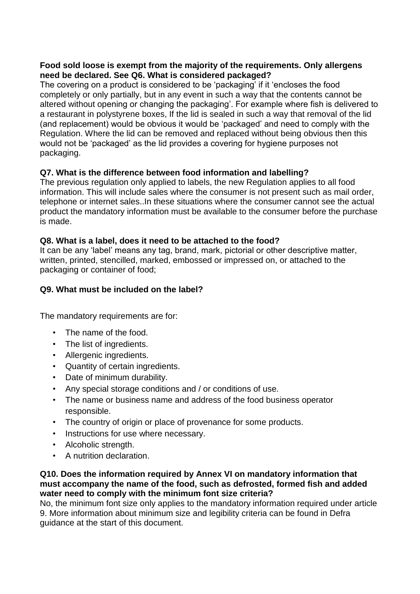# **Food sold loose is exempt from the majority of the requirements. Only allergens need be declared. See Q6. What is considered packaged?**

The covering on a product is considered to be 'packaging' if it 'encloses the food completely or only partially, but in any event in such a way that the contents cannot be altered without opening or changing the packaging'. For example where fish is delivered to a restaurant in polystyrene boxes, If the lid is sealed in such a way that removal of the lid (and replacement) would be obvious it would be 'packaged' and need to comply with the Regulation. Where the lid can be removed and replaced without being obvious then this would not be 'packaged' as the lid provides a covering for hygiene purposes not packaging.

# **Q7. What is the difference between food information and labelling?**

The previous regulation only applied to labels, the new Regulation applies to all food information. This will include sales where the consumer is not present such as mail order, telephone or internet sales..In these situations where the consumer cannot see the actual product the mandatory information must be available to the consumer before the purchase is made.

# **Q8. What is a label, does it need to be attached to the food?**

It can be any 'label' means any tag, brand, mark, pictorial or other descriptive matter, written, printed, stencilled, marked, embossed or impressed on, or attached to the packaging or container of food;

# **Q9. What must be included on the label?**

The mandatory requirements are for:

- The name of the food.
- The list of ingredients.
- Allergenic ingredients.
- Quantity of certain ingredients.
- Date of minimum durability.
- Any special storage conditions and / or conditions of use.
- The name or business name and address of the food business operator responsible.
- The country of origin or place of provenance for some products.
- Instructions for use where necessary.
- Alcoholic strength.
- A nutrition declaration.

#### **Q10. Does the information required by Annex VI on mandatory information that must accompany the name of the food, such as defrosted, formed fish and added water need to comply with the minimum font size criteria?**

No, the minimum font size only applies to the mandatory information required under article 9. More information about minimum size and legibility criteria can be found in Defra guidance at the start of this document.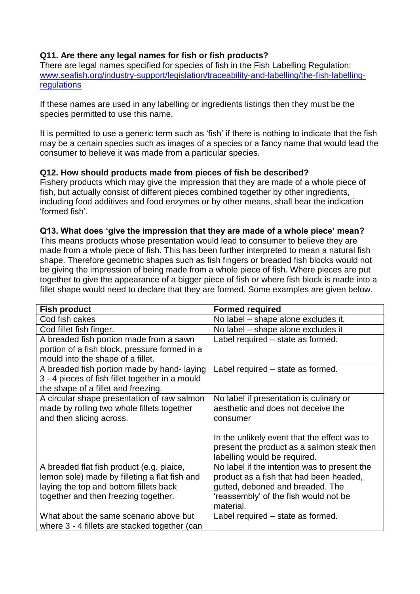# **Q11. Are there any legal names for fish or fish products?**

There are legal names specified for species of fish in the Fish Labelling Regulation: [www.seafish.org/industry-support/legislation/traceability-and-labelling/the-fish-labelling](http://www.seafish.org/industry-support/legislation/traceability-and-labelling/the-fish-labelling-regulations)**[regulations](http://www.seafish.org/industry-support/legislation/traceability-and-labelling/the-fish-labelling-regulations)** 

If these names are used in any labelling or ingredients listings then they must be the species permitted to use this name.

It is permitted to use a generic term such as 'fish' if there is nothing to indicate that the fish may be a certain species such as images of a species or a fancy name that would lead the consumer to believe it was made from a particular species.

# **Q12. How should products made from pieces of fish be described?**

Fishery products which may give the impression that they are made of a whole piece of fish, but actually consist of different pieces combined together by other ingredients, including food additives and food enzymes or by other means, shall bear the indication 'formed fish'.

#### **Q13. What does 'give the impression that they are made of a whole piece' mean?**

This means products whose presentation would lead to consumer to believe they are made from a whole piece of fish. This has been further interpreted to mean a natural fish shape. Therefore geometric shapes such as fish fingers or breaded fish blocks would not be giving the impression of being made from a whole piece of fish. Where pieces are put together to give the appearance of a bigger piece of fish or where fish block is made into a fillet shape would need to declare that they are formed. Some examples are given below.

| <b>Fish product</b>                                                                | <b>Formed required</b>                                                     |
|------------------------------------------------------------------------------------|----------------------------------------------------------------------------|
| Cod fish cakes                                                                     | No label - shape alone excludes it.                                        |
| Cod fillet fish finger.                                                            | No label - shape alone excludes it                                         |
| A breaded fish portion made from a sawn                                            | Label required - state as formed.                                          |
| portion of a fish block, pressure formed in a<br>mould into the shape of a fillet. |                                                                            |
| A breaded fish portion made by hand-laying                                         | Label required - state as formed.                                          |
| 3 - 4 pieces of fish fillet together in a mould                                    |                                                                            |
| the shape of a fillet and freezing.                                                |                                                                            |
| A circular shape presentation of raw salmon                                        | No label if presentation is culinary or                                    |
| made by rolling two whole fillets together                                         | aesthetic and does not deceive the                                         |
| and then slicing across.                                                           | consumer                                                                   |
|                                                                                    |                                                                            |
|                                                                                    | In the unlikely event that the effect was to                               |
|                                                                                    | present the product as a salmon steak then<br>labelling would be required. |
| A breaded flat fish product (e.g. plaice,                                          | No label if the intention was to present the                               |
| lemon sole) made by filleting a flat fish and                                      | product as a fish that had been headed,                                    |
| laying the top and bottom fillets back                                             | gutted, deboned and breaded. The                                           |
| together and then freezing together.                                               | 'reassembly' of the fish would not be                                      |
|                                                                                    | material.                                                                  |
| What about the same scenario above but                                             | Label required – state as formed.                                          |
| where 3 - 4 fillets are stacked together (can                                      |                                                                            |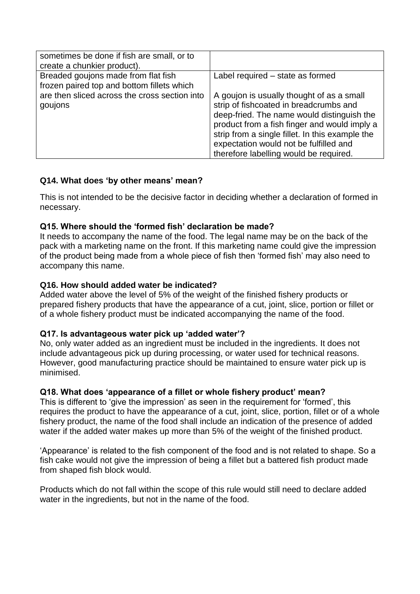| sometimes be done if fish are small, or to<br>create a chunkier product).         |                                                                                                                                                                                                                                                                                                                          |
|-----------------------------------------------------------------------------------|--------------------------------------------------------------------------------------------------------------------------------------------------------------------------------------------------------------------------------------------------------------------------------------------------------------------------|
| Breaded goujons made from flat fish<br>frozen paired top and bottom fillets which | Label required - state as formed                                                                                                                                                                                                                                                                                         |
| are then sliced across the cross section into<br>goujons                          | A goujon is usually thought of as a small<br>strip of fishcoated in breadcrumbs and<br>deep-fried. The name would distinguish the<br>product from a fish finger and would imply a<br>strip from a single fillet. In this example the<br>expectation would not be fulfilled and<br>therefore labelling would be required. |

# **Q14. What does 'by other means' mean?**

This is not intended to be the decisive factor in deciding whether a declaration of formed in necessary.

# **Q15. Where should the 'formed fish' declaration be made?**

It needs to accompany the name of the food. The legal name may be on the back of the pack with a marketing name on the front. If this marketing name could give the impression of the product being made from a whole piece of fish then 'formed fish' may also need to accompany this name.

# **Q16. How should added water be indicated?**

Added water above the level of 5% of the weight of the finished fishery products or prepared fishery products that have the appearance of a cut, joint, slice, portion or fillet or of a whole fishery product must be indicated accompanying the name of the food.

# **Q17. Is advantageous water pick up 'added water'?**

No, only water added as an ingredient must be included in the ingredients. It does not include advantageous pick up during processing, or water used for technical reasons. However, good manufacturing practice should be maintained to ensure water pick up is minimised.

# **Q18. What does 'appearance of a fillet or whole fishery product' mean?**

This is different to 'give the impression' as seen in the requirement for 'formed', this requires the product to have the appearance of a cut, joint, slice, portion, fillet or of a whole fishery product, the name of the food shall include an indication of the presence of added water if the added water makes up more than 5% of the weight of the finished product.

'Appearance' is related to the fish component of the food and is not related to shape. So a fish cake would not give the impression of being a fillet but a battered fish product made from shaped fish block would.

Products which do not fall within the scope of this rule would still need to declare added water in the ingredients, but not in the name of the food.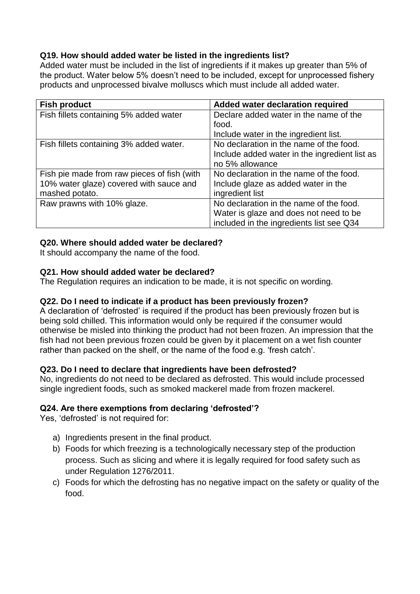# **Q19. How should added water be listed in the ingredients list?**

Added water must be included in the list of ingredients if it makes up greater than 5% of the product. Water below 5% doesn't need to be included, except for unprocessed fishery products and unprocessed bivalve molluscs which must include all added water.

| <b>Fish product</b>                         | Added water declaration required              |
|---------------------------------------------|-----------------------------------------------|
| Fish fillets containing 5% added water      | Declare added water in the name of the        |
|                                             | food.                                         |
|                                             | Include water in the ingredient list.         |
| Fish fillets containing 3% added water.     | No declaration in the name of the food.       |
|                                             | Include added water in the ingredient list as |
|                                             | no 5% allowance                               |
| Fish pie made from raw pieces of fish (with | No declaration in the name of the food.       |
| 10% water glaze) covered with sauce and     | Include glaze as added water in the           |
| mashed potato.                              | ingredient list                               |
| Raw prawns with 10% glaze.                  | No declaration in the name of the food.       |
|                                             | Water is glaze and does not need to be        |
|                                             | included in the ingredients list see Q34      |

# **Q20. Where should added water be declared?**

It should accompany the name of the food.

# **Q21. How should added water be declared?**

The Regulation requires an indication to be made, it is not specific on wording.

# **Q22. Do I need to indicate if a product has been previously frozen?**

A declaration of 'defrosted' is required if the product has been previously frozen but is being sold chilled. This information would only be required if the consumer would otherwise be misled into thinking the product had not been frozen. An impression that the fish had not been previous frozen could be given by it placement on a wet fish counter rather than packed on the shelf, or the name of the food e.g. 'fresh catch'.

#### **Q23. Do I need to declare that ingredients have been defrosted?**

No, ingredients do not need to be declared as defrosted. This would include processed single ingredient foods, such as smoked mackerel made from frozen mackerel.

# **Q24. Are there exemptions from declaring 'defrosted'?**

Yes, 'defrosted' is not required for:

- a) Ingredients present in the final product.
- b) Foods for which freezing is a technologically necessary step of the production process. Such as slicing and where it is legally required for food safety such as under Regulation 1276/2011.
- c) Foods for which the defrosting has no negative impact on the safety or quality of the food.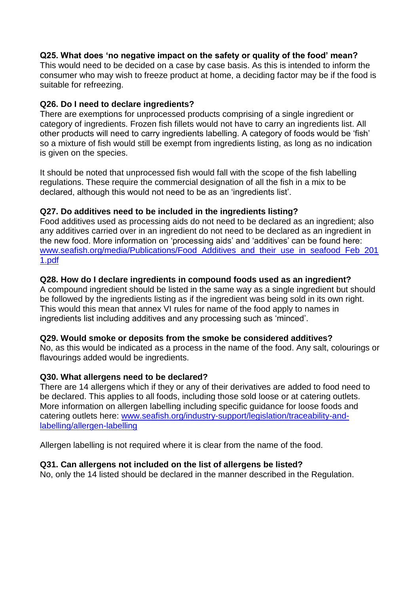# **Q25. What does 'no negative impact on the safety or quality of the food' mean?**

This would need to be decided on a case by case basis. As this is intended to inform the consumer who may wish to freeze product at home, a deciding factor may be if the food is suitable for refreezing.

# **Q26. Do I need to declare ingredients?**

There are exemptions for unprocessed products comprising of a single ingredient or category of ingredients. Frozen fish fillets would not have to carry an ingredients list. All other products will need to carry ingredients labelling. A category of foods would be 'fish' so a mixture of fish would still be exempt from ingredients listing, as long as no indication is given on the species.

It should be noted that unprocessed fish would fall with the scope of the fish labelling regulations. These require the commercial designation of all the fish in a mix to be declared, although this would not need to be as an 'ingredients list'.

# **Q27. Do additives need to be included in the ingredients listing?**

Food additives used as processing aids do not need to be declared as an ingredient; also any additives carried over in an ingredient do not need to be declared as an ingredient in the new food. More information on 'processing aids' and 'additives' can be found here: www.seafish.org/media/Publications/Food Additives and their use in seafood Feb 201 [1.pdf](http://www.seafish.org/media/Publications/Food_Additives_and_their_use_in_seafood_Feb_2011.pdf)

# **Q28. How do I declare ingredients in compound foods used as an ingredient?**

A compound ingredient should be listed in the same way as a single ingredient but should be followed by the ingredients listing as if the ingredient was being sold in its own right. This would this mean that annex VI rules for name of the food apply to names in ingredients list including additives and any processing such as 'minced'.

#### **Q29. Would smoke or deposits from the smoke be considered additives?**

No, as this would be indicated as a process in the name of the food. Any salt, colourings or flavourings added would be ingredients.

#### **Q30. What allergens need to be declared?**

There are 14 allergens which if they or any of their derivatives are added to food need to be declared. This applies to all foods, including those sold loose or at catering outlets. More information on allergen labelling including specific guidance for loose foods and catering outlets here: [www.seafish.org/industry-support/legislation/traceability-and](http://www.seafish.org/industry-support/legislation/traceability-and-labelling/allergen-labelling)[labelling/allergen-labelling](http://www.seafish.org/industry-support/legislation/traceability-and-labelling/allergen-labelling)

Allergen labelling is not required where it is clear from the name of the food.

#### **Q31. Can allergens not included on the list of allergens be listed?**

No, only the 14 listed should be declared in the manner described in the Regulation.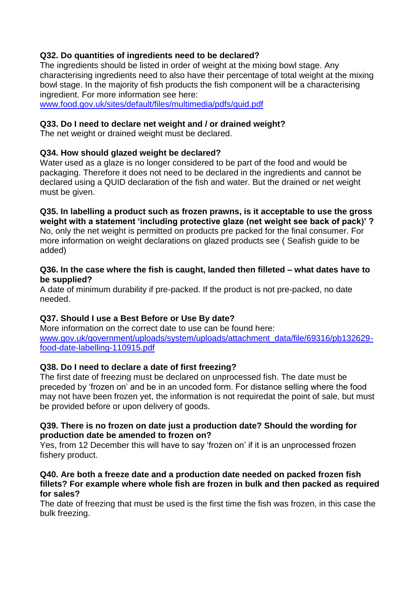# **Q32. Do quantities of ingredients need to be declared?**

The ingredients should be listed in order of weight at the mixing bowl stage. Any characterising ingredients need to also have their percentage of total weight at the mixing bowl stage. In the majority of fish products the fish component will be a characterising ingredient. For more information see here:

[www.food.gov.uk/sites/default/files/multimedia/pdfs/quid.pdf](http://www.food.gov.uk/sites/default/files/multimedia/pdfs/quid.pdf)

# **Q33. Do I need to declare net weight and / or drained weight?**

The net weight or drained weight must be declared.

# **Q34. How should glazed weight be declared?**

Water used as a glaze is no longer considered to be part of the food and would be packaging. Therefore it does not need to be declared in the ingredients and cannot be declared using a QUID declaration of the fish and water. But the drained or net weight must be given.

**Q35. In labelling a product such as frozen prawns, is it acceptable to use the gross weight with a statement 'including protective glaze (net weight see back of pack)' ?**  No, only the net weight is permitted on products pre packed for the final consumer. For more information on weight declarations on glazed products see ( Seafish guide to be added)

#### **Q36. In the case where the fish is caught, landed then filleted – what dates have to be supplied?**

A date of minimum durability if pre-packed. If the product is not pre-packed, no date needed.

# **Q37. Should I use a Best Before or Use By date?**

More information on the correct date to use can be found here: [www.gov.uk/government/uploads/system/uploads/attachment\\_data/file/69316/pb132629](http://www.gov.uk/government/uploads/system/uploads/attachment_data/file/69316/pb132629-food-date-labelling-110915.pdf) [food-date-labelling-110915.pdf](http://www.gov.uk/government/uploads/system/uploads/attachment_data/file/69316/pb132629-food-date-labelling-110915.pdf)

# **Q38. Do I need to declare a date of first freezing?**

The first date of freezing must be declared on unprocessed fish. The date must be preceded by 'frozen on' and be in an uncoded form. For distance selling where the food may not have been frozen yet, the information is not requiredat the point of sale, but must be provided before or upon delivery of goods.

#### **Q39. There is no frozen on date just a production date? Should the wording for production date be amended to frozen on?**

Yes, from 12 December this will have to say 'frozen on' if it is an unprocessed frozen fishery product.

#### **Q40. Are both a freeze date and a production date needed on packed frozen fish fillets? For example where whole fish are frozen in bulk and then packed as required for sales?**

The date of freezing that must be used is the first time the fish was frozen, in this case the bulk freezing.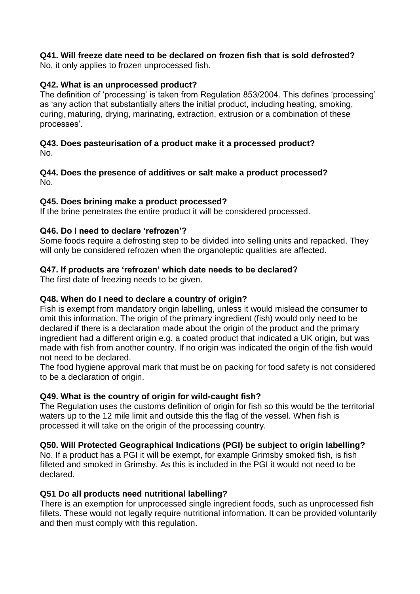# **Q41. Will freeze date need to be declared on frozen fish that is sold defrosted?**

No, it only applies to frozen unprocessed fish.

# **Q42. What is an unprocessed product?**

The definition of 'processing' is taken from Regulation 853/2004. This defines 'processing' as 'any action that substantially alters the initial product, including heating, smoking, curing, maturing, drying, marinating, extraction, extrusion or a combination of these processes'.

#### **Q43. Does pasteurisation of a product make it a processed product?** No.

## **Q44. Does the presence of additives or salt make a product processed?**  No.

# **Q45. Does brining make a product processed?**

If the brine penetrates the entire product it will be considered processed.

# **Q46. Do I need to declare 'refrozen'?**

Some foods require a defrosting step to be divided into selling units and repacked. They will only be considered refrozen when the organoleptic qualities are affected.

# **Q47. If products are 'refrozen' which date needs to be declared?**

The first date of freezing needs to be given.

## **Q48. When do I need to declare a country of origin?**

Fish is exempt from mandatory origin labelling, unless it would mislead the consumer to omit this information. The origin of the primary ingredient (fish) would only need to be declared if there is a declaration made about the origin of the product and the primary ingredient had a different origin e.g. a coated product that indicated a UK origin, but was made with fish from another country. If no origin was indicated the origin of the fish would not need to be declared.

The food hygiene approval mark that must be on packing for food safety is not considered to be a declaration of origin.

# **Q49. What is the country of origin for wild-caught fish?**

The Regulation uses the customs definition of origin for fish so this would be the territorial waters up to the 12 mile limit and outside this the flag of the vessel. When fish is processed it will take on the origin of the processing country.

# **Q50. Will Protected Geographical Indications (PGI) be subject to origin labelling?**

No. If a product has a PGI it will be exempt, for example Grimsby smoked fish, is fish filleted and smoked in Grimsby. As this is included in the PGI it would not need to be declared.

#### **Q51 Do all products need nutritional labelling?**

There is an exemption for unprocessed single ingredient foods, such as unprocessed fish fillets. These would not legally require nutritional information. It can be provided voluntarily and then must comply with this regulation.